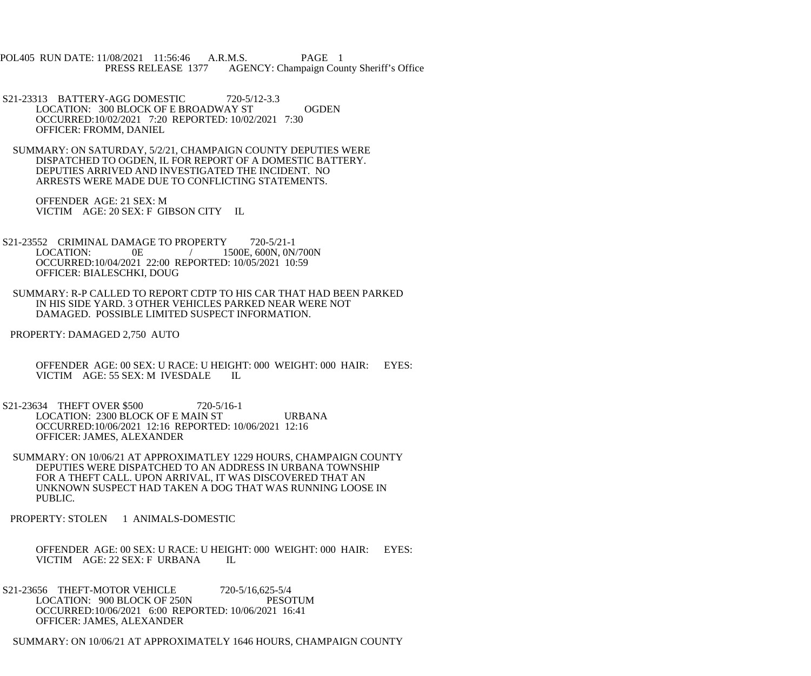POL405 RUN DATE: 11/08/2021 11:56:46 A.R.M.S. PAGE 1<br>PRESS RELEASE 1377 AGENCY: Champaign Cou AGENCY: Champaign County Sheriff's Office

- S21-23313 BATTERY-AGG DOMESTIC 720-5/12-3.3 LOCATION: 300 BLOCK OF E BROADWAY ST OGDEN OCCURRED:10/02/2021 7:20 REPORTED: 10/02/2021 7:30 OFFICER: FROMM, DANIEL
- SUMMARY: ON SATURDAY, 5/2/21, CHAMPAIGN COUNTY DEPUTIES WERE DISPATCHED TO OGDEN, IL FOR REPORT OF A DOMESTIC BATTERY. DEPUTIES ARRIVED AND INVESTIGATED THE INCIDENT. NO ARRESTS WERE MADE DUE TO CONFLICTING STATEMENTS.

 OFFENDER AGE: 21 SEX: M VICTIM AGE: 20 SEX: F GIBSON CITY IL

- S21-23552 CRIMINAL DAMAGE TO PROPERTY 720-5/21-1<br>LOCATION: 0E / 1500E. 600N. 0N.  $/ 1500E, 600N, 0N/700N$  OCCURRED:10/04/2021 22:00 REPORTED: 10/05/2021 10:59 OFFICER: BIALESCHKI, DOUG
- SUMMARY: R-P CALLED TO REPORT CDTP TO HIS CAR THAT HAD BEEN PARKED IN HIS SIDE YARD. 3 OTHER VEHICLES PARKED NEAR WERE NOT DAMAGED. POSSIBLE LIMITED SUSPECT INFORMATION.
- PROPERTY: DAMAGED 2,750 AUTO
	- OFFENDER AGE: 00 SEX: U RACE: U HEIGHT: 000 WEIGHT: 000 HAIR: EYES: VICTIM AGE: 55 SEX: M IVESDALE IL
- S21-23634 THEFT OVER \$500 720-5/16-1 LOCATION: 2300 BLOCK OF E MAIN ST URBANA OCCURRED:10/06/2021 12:16 REPORTED: 10/06/2021 12:16 OFFICER: JAMES, ALEXANDER
- SUMMARY: ON 10/06/21 AT APPROXIMATLEY 1229 HOURS, CHAMPAIGN COUNTY DEPUTIES WERE DISPATCHED TO AN ADDRESS IN URBANA TOWNSHIP FOR A THEFT CALL. UPON ARRIVAL, IT WAS DISCOVERED THAT AN UNKNOWN SUSPECT HAD TAKEN A DOG THAT WAS RUNNING LOOSE IN PUBLIC.
- PROPERTY: STOLEN 1 ANIMALS-DOMESTIC

 OFFENDER AGE: 00 SEX: U RACE: U HEIGHT: 000 WEIGHT: 000 HAIR: EYES: VICTIM AGE: 22 SEX: F URBANA IL

S21-23656 THEFT-MOTOR VEHICLE 720-5/16,625-5/4<br>LOCATION: 900 BLOCK OF 250N PESOTUM LOCATION: 900 BLOCK OF 250N OCCURRED:10/06/2021 6:00 REPORTED: 10/06/2021 16:41 OFFICER: JAMES, ALEXANDER

SUMMARY: ON 10/06/21 AT APPROXIMATELY 1646 HOURS, CHAMPAIGN COUNTY